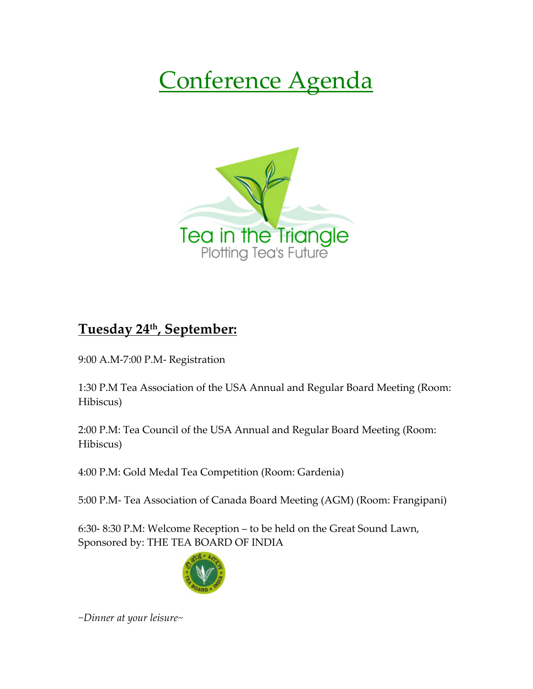# Conference Agenda



## **Tuesday 24th, September:**

9:00 A.M-7:00 P.M- Registration

1:30 P.M Tea Association of the USA Annual and Regular Board Meeting (Room: Hibiscus)

2:00 P.M: Tea Council of the USA Annual and Regular Board Meeting (Room: Hibiscus)

4:00 P.M: Gold Medal Tea Competition (Room: Gardenia)

5:00 P.M- Tea Association of Canada Board Meeting (AGM) (Room: Frangipani)

6:30- 8:30 P.M: Welcome Reception – to be held on the Great Sound Lawn, Sponsored by: THE TEA BOARD OF INDIA



*~Dinner at your leisure~*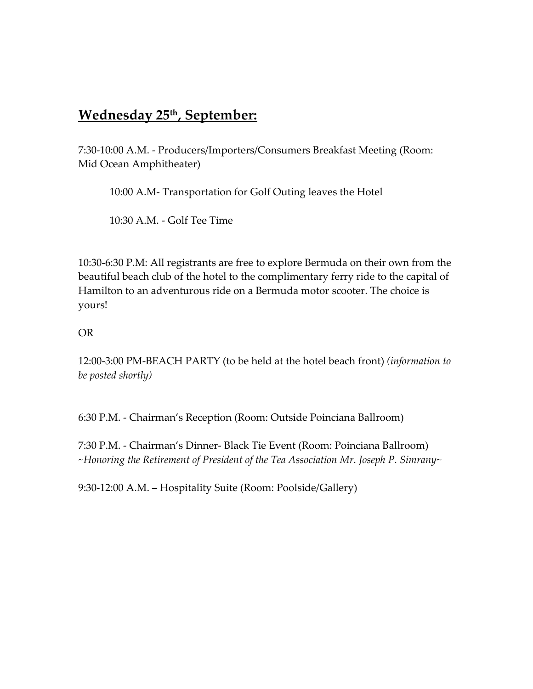## **Wednesday 25th, September:**

7:30-10:00 A.M. - Producers/Importers/Consumers Breakfast Meeting (Room: Mid Ocean Amphitheater)

10:00 A.M- Transportation for Golf Outing leaves the Hotel

10:30 A.M. - Golf Tee Time

10:30-6:30 P.M: All registrants are free to explore Bermuda on their own from the beautiful beach club of the hotel to the complimentary ferry ride to the capital of Hamilton to an adventurous ride on a Bermuda motor scooter. The choice is yours!

#### OR

12:00-3:00 PM-BEACH PARTY (to be held at the hotel beach front) *(information to be posted shortly)*

6:30 P.M. - Chairman's Reception (Room: Outside Poinciana Ballroom)

7:30 P.M. - Chairman's Dinner- Black Tie Event (Room: Poinciana Ballroom) *~Honoring the Retirement of President of the Tea Association Mr. Joseph P. Simrany~*

9:30-12:00 A.M. – Hospitality Suite (Room: Poolside/Gallery)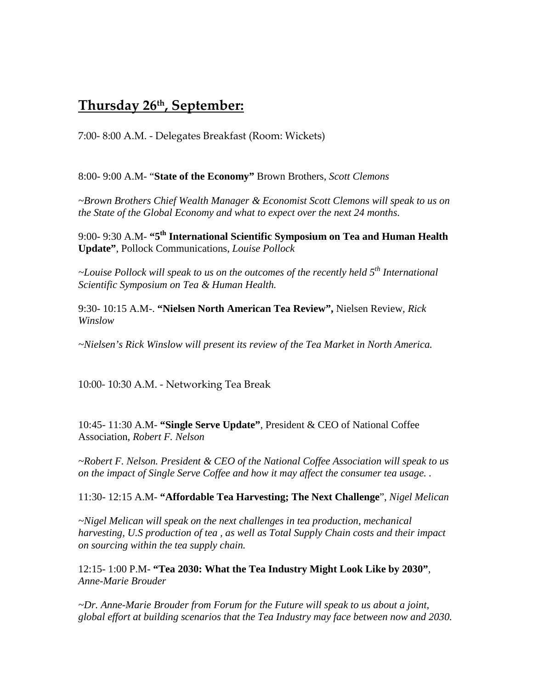#### **Thursday 26th, September:**

7:00- 8:00 A.M. - Delegates Breakfast (Room: Wickets)

8:00- 9:00 A.M- "**State of the Economy"** Brown Brothers, *Scott Clemons*

*~Brown Brothers Chief Wealth Manager & Economist Scott Clemons will speak to us on the State of the Global Economy and what to expect over the next 24 months.*

9:00- 9:30 A.M- **"5th International Scientific Symposium on Tea and Human Health Update"**, Pollock Communications, *Louise Pollock*

*~Louise Pollock will speak to us on the outcomes of the recently held 5th International Scientific Symposium on Tea & Human Health.*

9:30- 10:15 A.M-. **"Nielsen North American Tea Review",** Nielsen Review, *Rick Winslow* 

*~Nielsen's Rick Winslow will present its review of the Tea Market in North America.*

10:00- 10:30 A.M. - Networking Tea Break

10:45- 11:30 A.M- **"Single Serve Update"**, President & CEO of National Coffee Association, *Robert F. Nelson*

*~Robert F. Nelson. President & CEO of the National Coffee Association will speak to us on the impact of Single Serve Coffee and how it may affect the consumer tea usage. .*

11:30- 12:15 A.M- **"Affordable Tea Harvesting; The Next Challenge**", *Nigel Melican*

*~Nigel Melican will speak on the next challenges in tea production, mechanical harvesting, U.S production of tea , as well as Total Supply Chain costs and their impact on sourcing within the tea supply chain.*

12:15- 1:00 P.M- **"Tea 2030: What the Tea Industry Might Look Like by 2030"**, *Anne-Marie Brouder*

*~Dr. Anne-Marie Brouder from Forum for the Future will speak to us about a joint, global effort at building scenarios that the Tea Industry may face between now and 2030.*